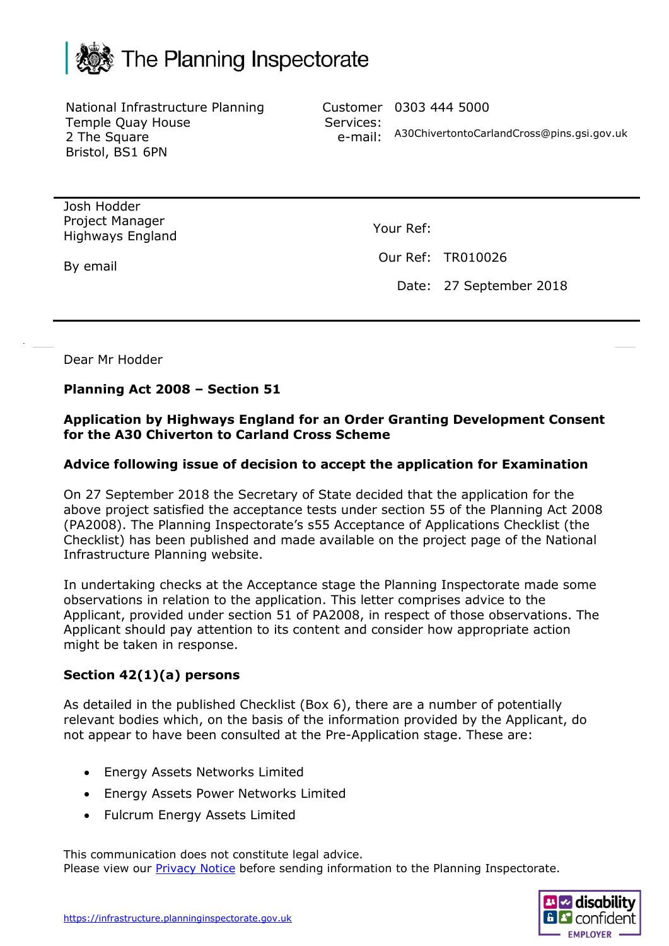

National Infrastructure Planning Temple Quay House 2 The Square Bristol, BS1 6PN

Customer 0303 444 5000 Services: e-mail: A30ChivertontoCarlandCross@pins.gsi.gov.uk

Josh Hodder Project Manager Highways England

By email

Your Ref:

Our Ref: TR010026

Date: 27 September 2018

Dear Mr Hodder

### **Planning Act 2008 – Section 51**

### **Application by Highways England for an Order Granting Development Consent for the A30 Chiverton to Carland Cross Scheme**

### **Advice following issue of decision to accept the application for Examination**

On 27 September 2018 the Secretary of State decided that the application for the above project satisfied the acceptance tests under section 55 of the Planning Act 2008 (PA2008). The Planning Inspectorate's s55 Acceptance of Applications Checklist (the Checklist) has been published and made available on the project page of the National Infrastructure Planning website.

In undertaking checks at the Acceptance stage the Planning Inspectorate made some observations in relation to the application. This letter comprises advice to the Applicant, provided under section 51 of PA2008, in respect of those observations. The Applicant should pay attention to its content and consider how appropriate action might be taken in response.

# **Section 42(1)(a) persons**

As detailed in the published Checklist (Box 6), there are a number of potentially relevant bodies which, on the basis of the information provided by the Applicant, do not appear to have been consulted at the Pre-Application stage. These are:

- Energy Assets Networks Limited
- Energy Assets Power Networks Limited
- Fulcrum Energy Assets Limited

This communication does not constitute legal advice. Please view our **Privacy Notice** before sending information to the Planning Inspectorate.

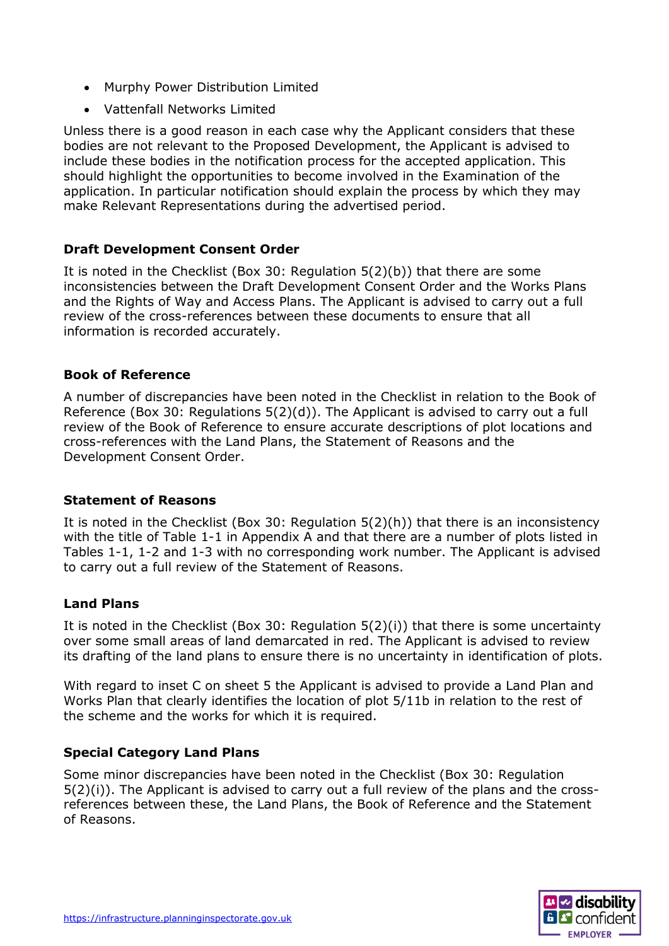- Murphy Power Distribution Limited
- Vattenfall Networks Limited

Unless there is a good reason in each case why the Applicant considers that these bodies are not relevant to the Proposed Development, the Applicant is advised to include these bodies in the notification process for the accepted application. This should highlight the opportunities to become involved in the Examination of the application. In particular notification should explain the process by which they may make Relevant Representations during the advertised period.

# **Draft Development Consent Order**

It is noted in the Checklist (Box 30: Regulation 5(2)(b)) that there are some inconsistencies between the Draft Development Consent Order and the Works Plans and the Rights of Way and Access Plans. The Applicant is advised to carry out a full review of the cross-references between these documents to ensure that all information is recorded accurately.

### **Book of Reference**

A number of discrepancies have been noted in the Checklist in relation to the Book of Reference (Box 30: Regulations 5(2)(d)). The Applicant is advised to carry out a full review of the Book of Reference to ensure accurate descriptions of plot locations and cross-references with the Land Plans, the Statement of Reasons and the Development Consent Order.

### **Statement of Reasons**

It is noted in the Checklist (Box 30: Regulation 5(2)(h)) that there is an inconsistency with the title of Table 1-1 in Appendix A and that there are a number of plots listed in Tables 1-1, 1-2 and 1-3 with no corresponding work number. The Applicant is advised to carry out a full review of the Statement of Reasons.

# **Land Plans**

It is noted in the Checklist (Box 30: Regulation 5(2)(i)) that there is some uncertainty over some small areas of land demarcated in red. The Applicant is advised to review its drafting of the land plans to ensure there is no uncertainty in identification of plots.

With regard to inset C on sheet 5 the Applicant is advised to provide a Land Plan and Works Plan that clearly identifies the location of plot 5/11b in relation to the rest of the scheme and the works for which it is required.

# **Special Category Land Plans**

Some minor discrepancies have been noted in the Checklist (Box 30: Regulation 5(2)(i)). The Applicant is advised to carry out a full review of the plans and the crossreferences between these, the Land Plans, the Book of Reference and the Statement of Reasons.